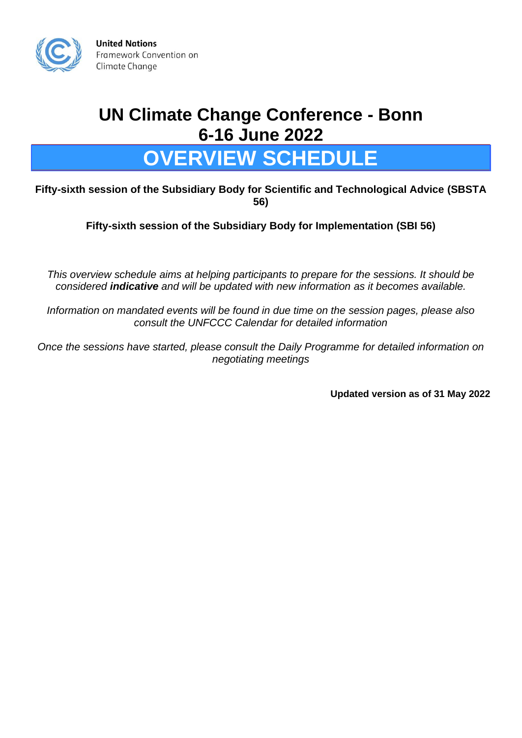

**United Nations** Framework Convention on Climate Change

## **UN Climate Change Conference - Bonn 6-16 June 2022**

## **OVERVIEW SCHEDULE**

**Fifty-sixth session of the Subsidiary Body for Scientific and Technological Advice (SBSTA 56)**

**Fifty-sixth session of the Subsidiary Body for Implementation (SBI 56)**

*This overview schedule aims at helping participants to prepare for the sessions. It should be considered indicative and will be updated with new information as it becomes available.*

*Information on mandated events will be found in due time on the session pages, please also consult the UNFCCC Calendar for detailed information*

*Once the sessions have started, please consult the Daily Programme for detailed information on negotiating meetings*

**Updated version as of 31 May 2022**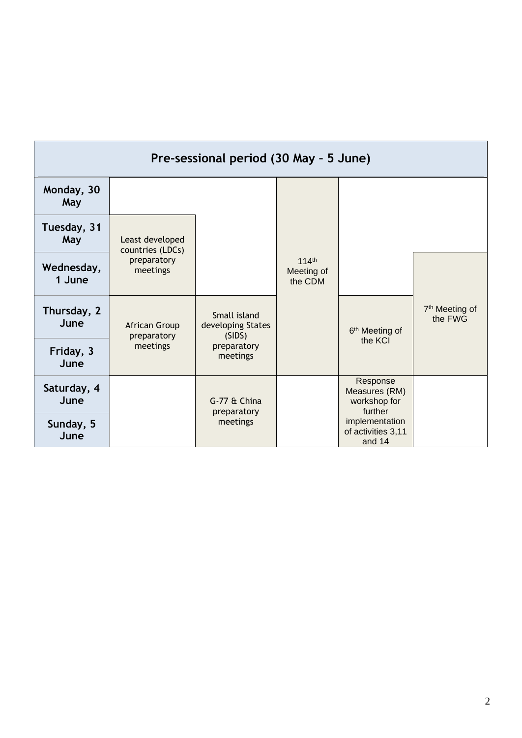| Pre-sessional period (30 May - 5 June) |                                     |                                             |                                            |                                                      |                                       |
|----------------------------------------|-------------------------------------|---------------------------------------------|--------------------------------------------|------------------------------------------------------|---------------------------------------|
| Monday, 30<br>May                      |                                     |                                             |                                            |                                                      |                                       |
| Tuesday, 31<br>May                     | Least developed<br>countries (LDCs) |                                             |                                            |                                                      |                                       |
| Wednesday,<br>1 June                   | preparatory<br>meetings             |                                             | 114 <sup>th</sup><br>Meeting of<br>the CDM |                                                      |                                       |
| Thursday, 2<br>June                    | African Group<br>preparatory        | Small island<br>developing States<br>(SIDS) |                                            | 6 <sup>th</sup> Meeting of                           | 7 <sup>th</sup> Meeting of<br>the FWG |
| Friday, 3<br>June                      | meetings                            | preparatory<br>meetings                     |                                            | the KCI                                              |                                       |
| Saturday, 4<br>June                    |                                     | G-77 & China<br>preparatory                 |                                            | Response<br>Measures (RM)<br>workshop for<br>further |                                       |
| Sunday, 5<br>June                      |                                     | meetings                                    |                                            | implementation<br>of activities 3,11<br>and 14       |                                       |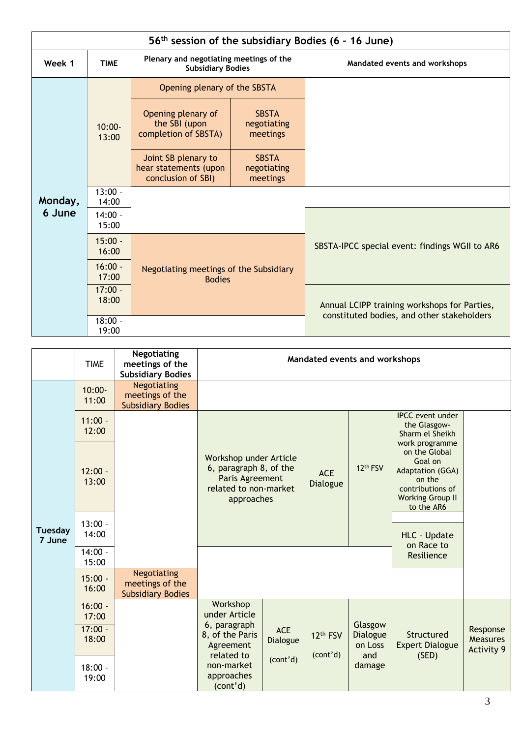|         | 56 <sup>th</sup> session of the subsidiary Bodies (6 - 16 June) |                                                                     |                                         |                                                                                            |  |  |
|---------|-----------------------------------------------------------------|---------------------------------------------------------------------|-----------------------------------------|--------------------------------------------------------------------------------------------|--|--|
| Week 1  | <b>TIME</b>                                                     | Plenary and negotiating meetings of the<br><b>Subsidiary Bodies</b> |                                         | Mandated events and workshops                                                              |  |  |
|         |                                                                 | Opening plenary of the SBSTA                                        |                                         |                                                                                            |  |  |
|         | $10:00 -$<br>13:00                                              | Opening plenary of<br>the SBI (upon<br>completion of SBSTA)         | <b>SBSTA</b><br>negotiating<br>meetings |                                                                                            |  |  |
|         |                                                                 | Joint SB plenary to<br>hear statements (upon<br>conclusion of SBI)  | <b>SBSTA</b><br>negotiating<br>meetings |                                                                                            |  |  |
| Monday, | $13:00 -$<br>14:00                                              |                                                                     |                                         |                                                                                            |  |  |
| 6 June  | $14:00 -$<br>15:00                                              |                                                                     |                                         |                                                                                            |  |  |
|         | $15:00 -$<br>16:00                                              |                                                                     |                                         | SBSTA-IPCC special event: findings WGII to AR6                                             |  |  |
|         | $16:00 -$<br>17:00                                              | Negotiating meetings of the Subsidiary<br><b>Bodies</b>             |                                         |                                                                                            |  |  |
|         | $17:00 -$<br>18:00                                              |                                                                     |                                         | Annual LCIPP training workshops for Parties,<br>constituted bodies, and other stakeholders |  |  |
|         | $18:00 -$<br>19:00                                              |                                                                     |                                         |                                                                                            |  |  |

|                          | <b>TIME</b>                              | <b>Negotiating</b><br>meetings of the<br><b>Subsidiary Bodies</b> |                                                                                                            | Mandated events and workshops |                        |                                       |                                                                                                                                       |                                                  |
|--------------------------|------------------------------------------|-------------------------------------------------------------------|------------------------------------------------------------------------------------------------------------|-------------------------------|------------------------|---------------------------------------|---------------------------------------------------------------------------------------------------------------------------------------|--------------------------------------------------|
|                          | $10:00 -$<br>11:00                       | Negotiating<br>meetings of the<br><b>Subsidiary Bodies</b>        |                                                                                                            |                               |                        |                                       |                                                                                                                                       |                                                  |
|                          | $11:00 -$<br>12:00                       |                                                                   |                                                                                                            |                               |                        |                                       | <b>IPCC</b> event under<br>the Glasgow-<br>Sharm el Sheikh                                                                            |                                                  |
| <b>Tuesday</b><br>7 June | $12:00 -$<br>13:00                       |                                                                   | Workshop under Article<br>6, paragraph 8, of the<br>Paris Agreement<br>related to non-market<br>approaches |                               | <b>ACE</b><br>Dialogue | 12 <sup>th</sup> FSV                  | work programme<br>on the Global<br>Goal on<br>Adaptation (GGA)<br>on the<br>contributions of<br><b>Working Group II</b><br>to the AR6 |                                                  |
|                          | $13:00 -$<br>14:00                       |                                                                   |                                                                                                            |                               |                        |                                       | HLC - Update<br>on Race to                                                                                                            |                                                  |
|                          | $14:00 -$<br>15:00                       |                                                                   |                                                                                                            |                               |                        |                                       | Resilience                                                                                                                            |                                                  |
|                          | $15:00 -$<br>16:00                       | <b>Negotiating</b><br>meetings of the<br><b>Subsidiary Bodies</b> |                                                                                                            |                               |                        |                                       |                                                                                                                                       |                                                  |
|                          | $16:00 -$<br>17:00<br>$17:00 -$<br>18:00 |                                                                   | Workshop<br>under Article<br>6, paragraph<br>8, of the Paris<br>Agreement<br>related to                    | <b>ACE</b><br>Dialogue        | 12th FSV<br>(cont'd)   | Glasgow<br>Dialogue<br>on Loss<br>and | Structured<br><b>Expert Dialogue</b><br>(SED)                                                                                         | Response<br><b>Measures</b><br><b>Activity 9</b> |
|                          | $18:00 -$<br>19:00                       |                                                                   | non-market<br>approaches<br>(cont'd)                                                                       | (cont'd)                      |                        | damage                                |                                                                                                                                       |                                                  |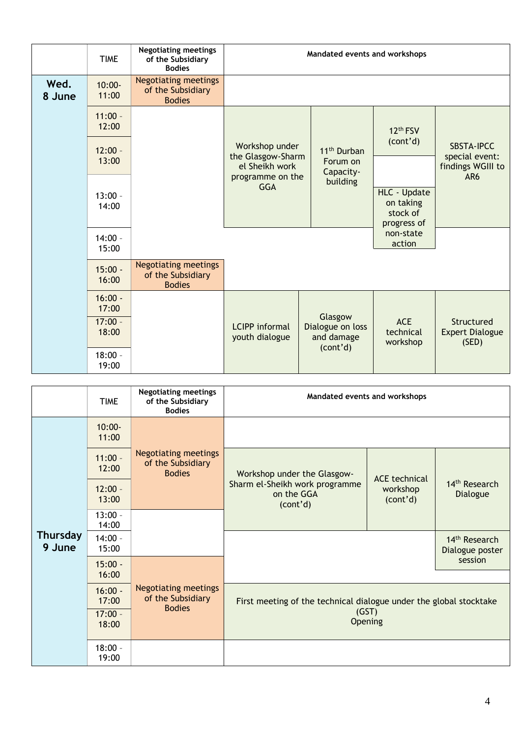|                | <b>TIME</b>        | <b>Negotiating meetings</b><br>of the Subsidiary<br><b>Bodies</b> | Mandated events and workshops           |                                                       |                                     |                                               |
|----------------|--------------------|-------------------------------------------------------------------|-----------------------------------------|-------------------------------------------------------|-------------------------------------|-----------------------------------------------|
| Wed.<br>8 June | $10:00 -$<br>11:00 | <b>Negotiating meetings</b><br>of the Subsidiary<br><b>Bodies</b> |                                         |                                                       |                                     |                                               |
|                | $11:00 -$<br>12:00 |                                                                   |                                         |                                                       | 12 <sup>th</sup> FSV                |                                               |
|                | $12:00 -$          |                                                                   | Workshop under<br>the Glasgow-Sharm     | 11 <sup>th</sup> Durban                               | (cont'd)                            | <b>SBSTA-IPCC</b><br>special event:           |
|                | 13:00              |                                                                   | el Sheikh work<br>programme on the      | Forum on<br>Capacity-<br>building                     |                                     | findings WGIII to<br>AR6                      |
|                | $13:00 -$<br>14:00 |                                                                   | <b>GGA</b>                              |                                                       | HLC - Update<br>on taking           |                                               |
|                |                    |                                                                   |                                         |                                                       | stock of<br>progress of             |                                               |
|                | $14:00 -$<br>15:00 |                                                                   |                                         |                                                       | non-state<br>action                 |                                               |
|                | $15:00 -$<br>16:00 | <b>Negotiating meetings</b><br>of the Subsidiary<br><b>Bodies</b> |                                         |                                                       |                                     |                                               |
|                | $16:00 -$<br>17:00 |                                                                   |                                         |                                                       |                                     |                                               |
|                | $17:00 -$<br>18:00 |                                                                   | <b>LCIPP</b> informal<br>youth dialogue | Glasgow<br>Dialogue on loss<br>and damage<br>(cont'd) | <b>ACE</b><br>technical<br>workshop | Structured<br><b>Expert Dialogue</b><br>(SED) |
|                | $18:00 -$<br>19:00 |                                                                   |                                         |                                                       |                                     |                                               |

|                           | <b>TIME</b>        | <b>Negotiating meetings</b><br>of the Subsidiary<br><b>Bodies</b> |                                                                    | Mandated events and workshops |                                                         |
|---------------------------|--------------------|-------------------------------------------------------------------|--------------------------------------------------------------------|-------------------------------|---------------------------------------------------------|
|                           | $10:00 -$<br>11:00 |                                                                   |                                                                    |                               |                                                         |
|                           | $11:00 -$<br>12:00 | <b>Negotiating meetings</b><br>of the Subsidiary<br><b>Bodies</b> | Workshop under the Glasgow-                                        | <b>ACE</b> technical          | 14 <sup>th</sup> Research<br>Dialogue                   |
|                           | $12:00 -$<br>13:00 |                                                                   | Sharm el-Sheikh work programme<br>on the GGA<br>(cont'd)           | workshop<br>(cont'd)          |                                                         |
|                           | $13:00 -$<br>14:00 |                                                                   |                                                                    |                               |                                                         |
| <b>Thursday</b><br>9 June | $14:00 -$<br>15:00 |                                                                   |                                                                    |                               | 14 <sup>th</sup> Research<br>Dialogue poster<br>session |
|                           | $15:00 -$<br>16:00 | <b>Negotiating meetings</b><br>of the Subsidiary<br><b>Bodies</b> |                                                                    |                               |                                                         |
|                           | $16:00 -$<br>17:00 |                                                                   | First meeting of the technical dialogue under the global stocktake |                               |                                                         |
|                           | $17:00 -$<br>18:00 |                                                                   | (GST)<br>Opening                                                   |                               |                                                         |
|                           | $18:00 -$<br>19:00 |                                                                   |                                                                    |                               |                                                         |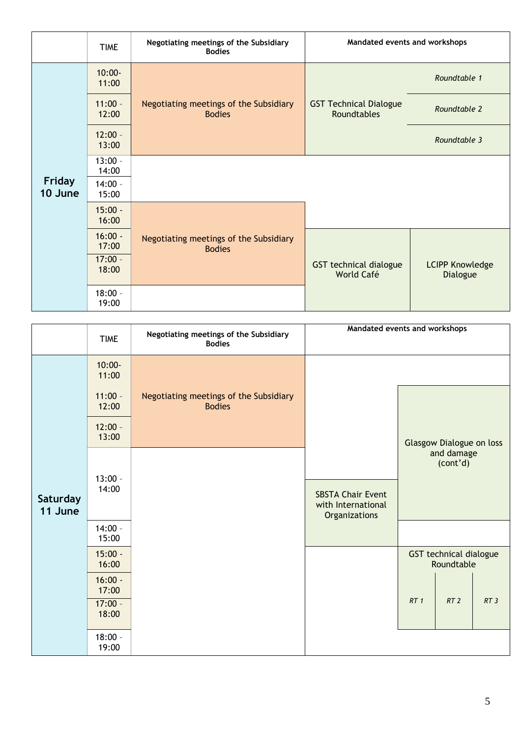|                   | <b>TIME</b>        | Negotiating meetings of the Subsidiary<br><b>Bodies</b> | Mandated events and workshops                |                                    |
|-------------------|--------------------|---------------------------------------------------------|----------------------------------------------|------------------------------------|
|                   | $10:00 -$<br>11:00 |                                                         |                                              | Roundtable 1                       |
|                   | $11:00 -$<br>12:00 | Negotiating meetings of the Subsidiary<br><b>Bodies</b> | <b>GST Technical Dialogue</b><br>Roundtables | Roundtable 2                       |
|                   | $12:00 -$<br>13:00 |                                                         |                                              | Roundtable 3                       |
|                   | $13:00 -$<br>14:00 |                                                         |                                              |                                    |
| Friday<br>10 June | $14:00 -$<br>15:00 |                                                         |                                              |                                    |
|                   | $15:00 -$<br>16:00 |                                                         |                                              |                                    |
|                   | $16:00 -$<br>17:00 | Negotiating meetings of the Subsidiary<br><b>Bodies</b> |                                              |                                    |
|                   | $17:00 -$<br>18:00 |                                                         | GST technical dialogue<br>World Café         | <b>LCIPP Knowledge</b><br>Dialogue |
|                   | $18:00 -$<br>19:00 |                                                         |                                              |                                    |

|                     | <b>TIME</b>                              | Negotiating meetings of the Subsidiary<br><b>Bodies</b> | Mandated events and workshops                                   |     |                                      |     |
|---------------------|------------------------------------------|---------------------------------------------------------|-----------------------------------------------------------------|-----|--------------------------------------|-----|
|                     | $10:00 -$<br>11:00                       |                                                         |                                                                 |     |                                      |     |
|                     | $11:00 -$<br>12:00                       | Negotiating meetings of the Subsidiary<br><b>Bodies</b> |                                                                 |     |                                      |     |
|                     | $12:00 -$<br>13:00                       |                                                         |                                                                 |     | Glasgow Dialogue on loss             |     |
| Saturday<br>11 June | $13:00 -$<br>14:00                       |                                                         | <b>SBSTA Chair Event</b><br>with International<br>Organizations |     | and damage<br>(cont'd)               |     |
|                     | $14:00 -$<br>15:00                       |                                                         |                                                                 |     |                                      |     |
|                     | $15:00 -$<br>16:00                       |                                                         |                                                                 |     | GST technical dialogue<br>Roundtable |     |
|                     | $16:00 -$<br>17:00<br>$17:00 -$<br>18:00 |                                                         |                                                                 | RT1 | RT <sub>2</sub>                      | RT3 |
|                     | $18:00 -$<br>19:00                       |                                                         |                                                                 |     |                                      |     |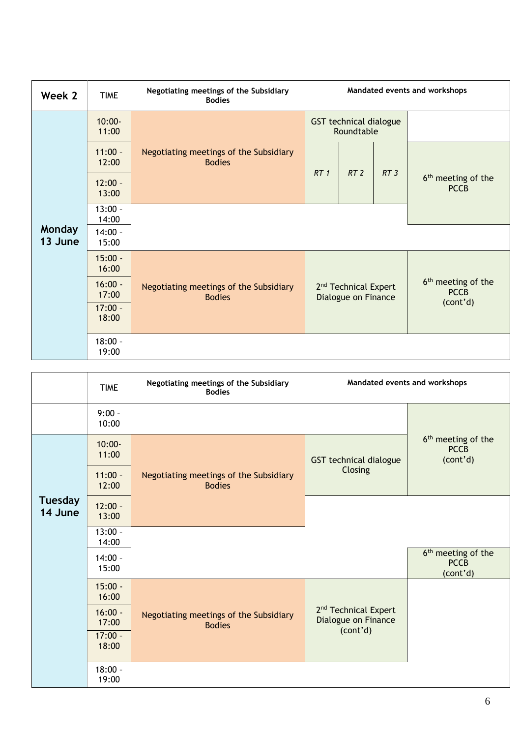| Week 2                   | <b>TIME</b>        | Negotiating meetings of the Subsidiary<br><b>Bodies</b> |                                                         |                                             |     | Mandated events and workshops                 |
|--------------------------|--------------------|---------------------------------------------------------|---------------------------------------------------------|---------------------------------------------|-----|-----------------------------------------------|
|                          | $10:00 -$<br>11:00 |                                                         |                                                         | <b>GST technical dialogue</b><br>Roundtable |     |                                               |
|                          | $11:00 -$<br>12:00 | Negotiating meetings of the Subsidiary<br><b>Bodies</b> | RT <sub>1</sub>                                         | RT <sub>2</sub>                             | RT3 |                                               |
|                          | $12:00 -$<br>13:00 |                                                         |                                                         |                                             |     | 6 <sup>th</sup> meeting of the<br><b>PCCB</b> |
|                          | $13:00 -$<br>14:00 |                                                         |                                                         |                                             |     |                                               |
| <b>Monday</b><br>13 June | $14:00 -$<br>15:00 |                                                         |                                                         |                                             |     |                                               |
|                          | $15:00 -$<br>16:00 |                                                         | 2 <sup>nd</sup> Technical Expert<br>Dialogue on Finance |                                             |     |                                               |
|                          | $16:00 -$<br>17:00 | Negotiating meetings of the Subsidiary<br><b>Bodies</b> |                                                         |                                             |     | 6 <sup>th</sup> meeting of the<br><b>PCCB</b> |
|                          | $17:00 -$<br>18:00 |                                                         |                                                         |                                             |     | (cont'd)                                      |
|                          | $18:00 -$<br>19:00 |                                                         |                                                         |                                             |     |                                               |

|                           | <b>TIME</b>        | Negotiating meetings of the Subsidiary<br><b>Bodies</b> | Mandated events and workshops                                       |                                                           |
|---------------------------|--------------------|---------------------------------------------------------|---------------------------------------------------------------------|-----------------------------------------------------------|
|                           | $9:00 -$<br>10:00  |                                                         |                                                                     |                                                           |
|                           | $10:00 -$<br>11:00 |                                                         | GST technical dialogue                                              | 6 <sup>th</sup> meeting of the<br><b>PCCB</b><br>(cont'd) |
|                           | $11:00 -$<br>12:00 | Negotiating meetings of the Subsidiary<br><b>Bodies</b> | Closing                                                             |                                                           |
| <b>Tuesday</b><br>14 June | $12:00 -$<br>13:00 |                                                         |                                                                     |                                                           |
|                           | $13:00 -$<br>14:00 |                                                         |                                                                     |                                                           |
|                           | $14:00 -$<br>15:00 |                                                         |                                                                     | 6 <sup>th</sup> meeting of the<br><b>PCCB</b><br>(cont'd) |
|                           | $15:00 -$<br>16:00 |                                                         |                                                                     |                                                           |
|                           | $16:00 -$<br>17:00 | Negotiating meetings of the Subsidiary<br><b>Bodies</b> | 2 <sup>nd</sup> Technical Expert<br>Dialogue on Finance<br>(cont'd) |                                                           |
|                           | $17:00 -$<br>18:00 |                                                         |                                                                     |                                                           |
|                           | $18:00 -$<br>19:00 |                                                         |                                                                     |                                                           |